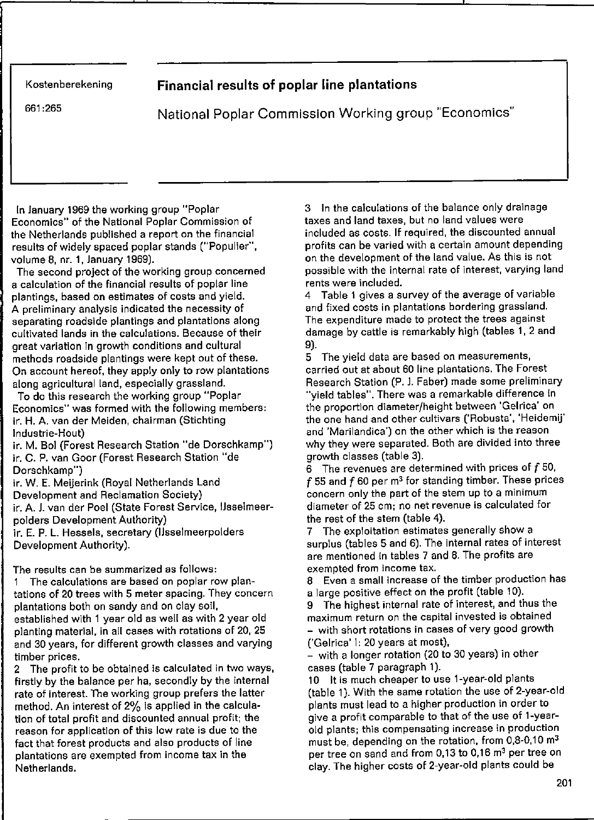## **Kostenberekening Financial results of poplar line plantations**

661 :265 National Poplar Commission Working group "Economics"

In January 1969 the working group "Poplar Economics" of the National Poplar Commission of the Netherlands published a report on the financial results of widely spaeed poplar stands ("Populier", volume 8, nr. 1, January 1969).

The second project of the working group concerned a calculation of the financial results of poplar line plantings, based on estimates of costs and yield. **A preliminary analysis indicated the necessity of**  separating roadside plantings and plantations along cultivated lands in the calculations. Because of their great varlation in growth conditions and cultural methods roadside plantings were kept out of these. On account hereof, they apply only to row plantations along agricultural land, especially grassland.

To do this research the working group "Poplar **Economics" was formed with the following members:**  ir. H. A. van der Meiden, chairman (Stichting Industrie-Hout)

ir. M. Bol (Forest Research Station "de Dorschkamp") ir. C. P. van Goor (Forest Research Station "de Dorschkamp")

ir. W. E. Meijerink (Royal Netherlands Land

Development and Reclamation Society)

ir. A. J. van der Poel (State Forest Service, IJsselmeerpolders Development Authority)

ir. E. P. L. Hesseis, secretary (IJsselmeerpolders Development Authority).

**The results can be summarized as follows:** 

1 The calculations are based on poplar row plantations of 20 trees with 5 meter spacing. They concern plantations both on sandy and on clay soil, established with 1 year old as weil as with 2 year old planting material, in all cases with rotations of 20, 25 and 30 years, for different growth classes and varying **timber prices.** 

2 The profit to be obtained is calculated in two ways, firstly by the balance per ha, secondly by the internal rate of interest. The working group prefers the latter method. An interest of 2% is applied in the calculation of total profit and discounted annual profit; the **reason for application of this lew rate is due te the**  fact that forest produets and also produets of line **plantatiens are exempted from inceme tax in the**  Netherlands.

3 In the calculations of the balance only drainage taxes and land taxes, but no land values were included as costs. If required, the discounted annual profits can be varied with a certain amount depending on the development of the land value. As this is not possible with the internal rate of interest, varying land **rents were included.** 

4 Table 1 gives a survey of the average of variabie **and fixed costs in plantations bordering grassland. The expenditure made to protect the trees against**  damage by cattle is remarkably high (tables 1, 2 and 9).

5 The yield data are based on measurements, carried out at about 60 line plantations. The Forest Research Station (P. J. Faber) made some preliminary "yield tables". There was a remarkable difference in the proportion diameter/height between 'Gelrica' on the one hand and other cultivars ('Robusta', 'Heidemij' **and 'Marilandica') on the ether which is the reason**  why they were separated. Both are divided into three growth classes (tabie 3).

6 The revenues are determined with prices of  $f$  50,  $f$  55 and  $f$  60 per m<sup>3</sup> for standing timber. These prices **concern only the part of the stem up to a minimum diameter ef 25 cm; no net revenue is calculated for**  the rest of the stem (tabie 4).

7 The exploitation estimates generally show a surplus (tables 5 and 6). The internal rates of interest are mentioned in tables 7 and 8. The profits are **exempted from inceme tax.** 

**a Even a small increase of the timber productien has**  a large positive effect on the profit (table 10).

9 The highest internal rate of interest, and thus the **maximum return on the capital invested is ebtained**  - with short rotations in cases of very good growth ("Geirica' I: 20 years at most),

- with a longer rotation (20 to 30 years) in other cases (tabie 7 paragraph 1).

10 It is much cheaper to use 1-year-old plants (tabie 1). With the same rotation the use of 2-year-old plants must lead to a higher production in order to give a profit comparable to that of the use of l-year**eld plants; this compensating increase in production**  must be, depending on the rotation, from 0,8-0,10  $\text{m}^3$ per tree on sand and from 0,13 to 0,16 m<sup>3</sup> per tree on clay. The higher costs of 2-year·old plants could be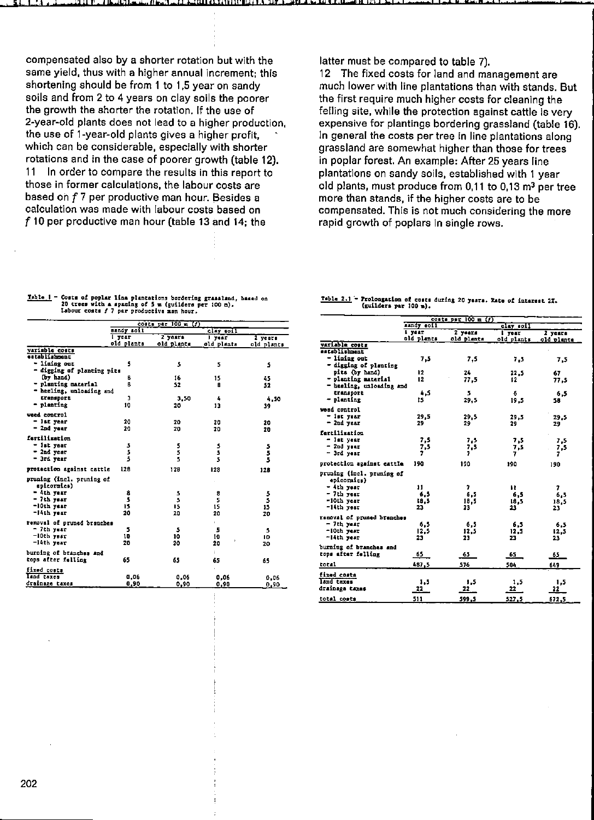compensated also by a shorter rotation but with the same yield, thus with a higher annual increment; this shortening should be from 1 to 1,5 year on sandy soils and from 2 to 4 years on clay soils the poorer the growth the shorter the rotation. If the use of 2-year-old plants does not lead to a higher production, the use of 1-year-old plants gives a higher profit. which can be considerable, especially with shorter rotations and in the case of poorer growth (table 12).  $11$ In order to compare the results in this report to those in former calculations, the labour costs are based on f 7 per productive man hour. Besides a calculation was made with labour costs based on f 10 per productive man hour (table 13 and 14; the

latter must be compared to table 7).

The fixed costs for land and management are  $12<sub>2</sub>$ much lower with line plantations than with stands. But the first require much higher costs for cleaning the felling site, while the protection against cattle is very expensive for plantings bordering grassland (table 16). In general the costs per tree in line plantations along grassland are somewhat higher than those for trees in poplar forest. An example: After 25 years line plantations on sandy soils, established with 1 year old plants, must produce from 0,11 to 0,13 m<sup>3</sup> per tree more than stands, if the higher costs are to be compensated. This is not much considering the more rapid growth of poplars in single rows.

## Table  $1$  - Costs of poplar line plantations bordering grassland, based on 20 trees with a spacing of 5 m (guilders per 100 m).<br>Labour costs f 7 per productive man hour.

|                                          |            | costs per 100 m (t) |            |             |  |
|------------------------------------------|------------|---------------------|------------|-------------|--|
|                                          | sandy soil |                     | clay soil  |             |  |
|                                          | $l$ year   | $2$ years           | l year     | 2 years     |  |
|                                          | old plants | old plants          | old plants | old plants  |  |
| variable costs                           |            |                     |            |             |  |
| establishment                            |            |                     |            |             |  |
| - lining our                             | 5          | 5                   | 5          | 5           |  |
| - digging of planting pits               |            |                     |            |             |  |
| (by hand)                                | в          | 16                  | 15         | 45          |  |
| - planting material                      | ß          | 52                  | Ĥ          | 52          |  |
| - heeling, unloading and                 |            |                     |            |             |  |
| transport                                | 3          | 3.50                | 4          | 4,50        |  |
| - planting                               | 10         | 20                  | 13         | 39          |  |
| weed control                             |            |                     |            |             |  |
| - lat year                               | 20         | 20                  | 20         | 20          |  |
| - 2nd year                               | 20         | 20                  | 20         | 20          |  |
|                                          |            |                     |            |             |  |
| fertilization                            |            |                     |            |             |  |
| - ist year                               | うちち        | 5                   | さらら        |             |  |
| - 2nd year                               |            | 5                   |            | 5<br>5<br>5 |  |
| - 3rd year                               |            | s                   |            |             |  |
| protection against cattle                | 128        | 128                 | 128        | 128         |  |
| pruning (incl. pruning of<br>epicornica) |            |                     |            |             |  |
| - Ath year                               | 8          | 5                   | 8          |             |  |
| - 7th year                               | 3          | 5                   | 5          | 5<br>5      |  |
| -10th year                               | 15         | 15                  | 15         | 15          |  |
| -leth vear                               | 20         | 20                  | 20         | 20          |  |
|                                          |            |                     |            |             |  |
| removal of pruned branches               |            |                     | ×.         |             |  |
| - 7th year                               | 5          | 5                   | 5          | 5           |  |
| $-10th$ year                             | 10         | 10                  | 10         | 10          |  |
| $-1$ ith year                            | 20         | 20                  | 20         | 20          |  |
| burning of branches and                  |            |                     | ŧ.         |             |  |
| tops after falling                       | 65         | 65                  | 65         | 65          |  |
|                                          |            |                     |            |             |  |
| fixed costs                              |            |                     |            |             |  |
| Isnd taxes                               | 0,06       | 0.06                | 0.06       | 0.06        |  |
| drainage taxes                           | 0,90       | 0,90                | 0,90       | 0,90        |  |

## Table 2.1 - Prolongation of costs during 20 years. Rate of interest 27. (guilders par 100 m).

|                                          |            | conte par $100 = (f)$ |            |            |
|------------------------------------------|------------|-----------------------|------------|------------|
|                                          | sandy soil |                       | clay soil  |            |
|                                          | i year     | 2 years               | $1$ year   | 2 years    |
| variable costs                           | old plants | old plants            | old plants | old plants |
| astablishment                            |            |                       |            |            |
| - lining out                             | 7.5        |                       |            |            |
| - digging of plenting                    |            | 7.5                   | 7.5        | 7,5        |
| pits (by hand)                           | 12         | 24                    | 22.5       | 67         |
| - planting material                      | 12         | 77.5                  | 12         |            |
| - healing, unloading and                 |            |                       |            | 77 S       |
| transport                                | 4.5        | 5                     | 6          |            |
| - planting                               | 15         | 29.5                  |            | 6.5        |
|                                          |            |                       | 19.5       | 58         |
| weed control                             |            |                       |            |            |
| - let year                               | 29,5       | 29.5                  | 29,5       | 29.5       |
| $-$ 2nd year                             | 29         | 29                    | 29         | 29         |
| fertilization                            |            |                       |            |            |
| - let year                               | 7.5        | 7.5                   | 7.5        | 7.5        |
| $-$ 2nd year                             | 7,5        | 7.5                   | 7,5        | 7,5        |
| - 3rd year                               | ,          | 7                     | 7          | 7          |
|                                          |            |                       |            |            |
| protection against cattle                | 198        | 190                   | 190        | 190        |
| pruning (incl. pruning of<br>epicornics) |            |                       |            |            |
| - Ath year                               | 11         | 7                     | 88         | 7          |
| - 7th year                               | 6.5        | 6.5                   | 6,5        | 6,5        |
| -10th year                               | 18,5       | 18.5                  | 18.5       | 18.5       |
| -14th year                               | 23         | 23                    | 23         | 23         |
|                                          |            |                       |            |            |
| ramoval of pruned branches               |            |                       |            |            |
| $-7th$ year<br>-10th year                | 6.5        | 6.5                   | 6.5        | 6.5        |
| -lith year                               | 12.5<br>23 | 12,5                  | 12.5       | 12.5       |
|                                          |            | 23                    | 23         | 23         |
| burning of branches and                  |            |                       |            |            |
| tops after felling                       | 65         | 65                    | 65         | 65         |
| total                                    | 437.5      | 576                   | 504        | 649        |
| fixed costs                              |            |                       |            |            |
| land taxes                               | 1,5        | 1.5                   | 1,5        | 1,5        |
| drainaga taxas                           | 22         | 22                    | 22         | 22         |
|                                          |            |                       |            |            |
| total costs                              | 511        | 599,5                 | 527,5      | 672.5      |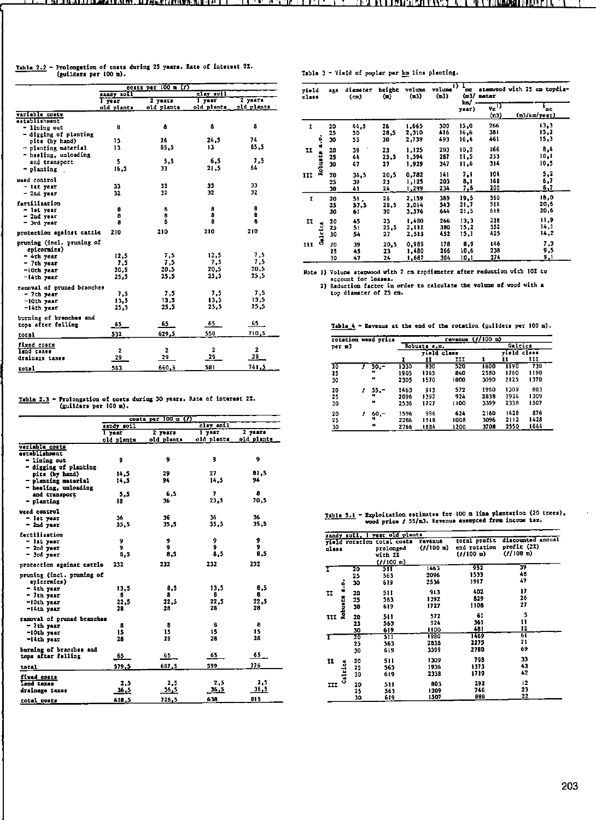| Table 2.2 - Prolongation of coats during 25 years. Rate of interest 2X. |  |
|-------------------------------------------------------------------------|--|
| (guilders per 100 m).                                                   |  |

|                            | coats per $100$ m $(f)$ |            |            |                         |  |  |
|----------------------------|-------------------------|------------|------------|-------------------------|--|--|
|                            | sandy soil              |            | clay soil  |                         |  |  |
|                            | 1 year                  | 2 years    | $1 - 70$   | 2 vaars                 |  |  |
| variable costs             | old plants              | old plants | old plants | old plants              |  |  |
| establishment              |                         |            |            |                         |  |  |
| - lining out               | B                       | 8          | 8          | B                       |  |  |
| - dircing of planting      |                         |            |            |                         |  |  |
| pits (by hand)             | 13                      | 26         | 24.5       | 74                      |  |  |
| - planting material        | 13                      | 85,5       | 13         | 85.5                    |  |  |
| - heeling, unloading       |                         |            |            |                         |  |  |
| and transport              | 5                       | 5.5        | 6.5        | 7,5<br>64               |  |  |
| - planting                 | 16.5                    | 33         | 21,5       |                         |  |  |
| weed control               |                         |            |            |                         |  |  |
| - ist year                 | 33                      | 33         | 33         | 33                      |  |  |
| $-$ 2nd year               | 32                      | 32         | 32         | 32                      |  |  |
| fartilization              |                         |            |            |                         |  |  |
| - ist year                 | 8                       | 8          | 8          | ø                       |  |  |
| $-$ 2nd year               | 8                       | 8<br>a     | 9<br>B     | B<br>8                  |  |  |
| $-$ 3rd year               | 8                       |            |            |                         |  |  |
| protection against cattle  | 210                     | 210        | 210        | 210                     |  |  |
| pruning (incl. pruning of  |                         |            |            |                         |  |  |
| epicormics)                |                         |            |            |                         |  |  |
| - 4th year                 | 12.5                    | 7.5        | 12.5       | 7.5                     |  |  |
| - 7th year                 | 7.5                     | 7,5        | 7.5        | 1,5                     |  |  |
| -10th year                 | 20.5                    | 20,5       | 20.5       | 20.5                    |  |  |
| $-14th$ year               | 25.5                    | 25.5       | 25,5       | 25.5                    |  |  |
| removal of pruned branches |                         |            |            |                         |  |  |
| - 7th year                 | 7.5                     | 7.5        | 7.5        | 7.5                     |  |  |
| $-10th$ year               | 13.5                    | 11.5       | 13,5       | 13.5                    |  |  |
| $-14th$ year               | 25.5                    | 25.5       | 25.5       | 25.5                    |  |  |
| burning of branches and    |                         |            |            |                         |  |  |
| tops after felling         | 65                      | 65         | 65         | 65                      |  |  |
| total                      | 532                     | 629,5      | 550        | 710.5                   |  |  |
| Eixed costs                |                         |            |            |                         |  |  |
| land taxes                 | 2                       | 2          | 2          | $\overline{\mathbf{z}}$ |  |  |
| drainage taxes             | 29                      | 29         | 29         | 29                      |  |  |
| total                      | 563                     | 660.5      | 581        | 741.5                   |  |  |

Table 2.3 - Prolongation of costs during 30 years. Rate of interest 27. (guilders per 100 m).

|                                          |              | costs par $100 \equiv (7)$ |                                   |            |
|------------------------------------------|--------------|----------------------------|-----------------------------------|------------|
|                                          | sandy soll   |                            | $_{\text{clay}}$ $_{\text{rel1}}$ |            |
|                                          | 1 year       | $2 \text{ years}$          | I year                            | $2$ years  |
|                                          | old plants   | old plants                 | old plants                        | old plants |
| veriable costs                           |              |                            |                                   |            |
| astablishment                            |              |                            |                                   |            |
| - lining out                             | 9            | 9                          | 9                                 | 9          |
| - digging of planting                    |              |                            |                                   |            |
| pits (by hand)                           | 14.5         | 29                         | 27                                | 81.5       |
| - planting material                      | 14.5         | 94                         | 14,5                              | 94         |
| - heeling, unloading                     |              |                            |                                   |            |
| and transport                            | 5.5          | 6,5                        | 7                                 | 8          |
| $-$ planting                             | 18           | 36                         | 23.5                              | 70.5       |
| weed control                             |              |                            |                                   |            |
| - lat year                               | 36           | 36                         | 36                                | 36         |
| $-2nc$ year                              | 35.5         | 35,5                       | 35.5                              | 35.5       |
|                                          |              |                            |                                   |            |
| fartilization                            |              |                            |                                   |            |
| - ist year                               | 9            | 9                          | 9                                 | 9<br>9     |
| - 2nd year                               | 9            | 9                          | ۰                                 | 8.5        |
| $-$ 3rd year                             | 8,5          | 8.5                        | 8,5                               |            |
| protection against cattle                | 232          | 232                        | 232                               | 232        |
| pruning (incl. pruning of<br>epicornics) |              |                            |                                   |            |
| $-$ 4th year                             | 13.5         | 8,5                        | 13.5                              | 8.5        |
| - Jth year                               | 8            | 8                          | 8                                 | 8          |
| ~10th year                               | 22.5         | 22,5                       | 22.5                              | 22, 5      |
| $-14th$ vear                             | 28           | 28                         | 28                                | 28         |
|                                          |              |                            |                                   |            |
| ramoval of prunad branches               |              |                            |                                   |            |
| $-$ 7th year                             | 8            | 8                          | 8                                 | 8          |
| -10th year                               | 15           | 15                         | 15                                | 15         |
| -14th year                               | 28           | 28                         | 28                                | 28         |
| burning of branches and                  |              |                            |                                   |            |
| tops after felling                       | 65           | 65.                        | 65                                | 65         |
|                                          |              |                            |                                   | 776        |
| total                                    | 579.5        | 687.5                      | 599                               |            |
| fixed coats                              |              |                            |                                   |            |
| Land taxes                               | 2.5          | 2.5                        | 2.5                               | 2.5        |
| drainage taxas                           | <u>36, 5</u> | 36.S                       | 36.5                              | 36.5       |
| total costs                              | 618,5        | 726,5                      | 638                               | 815        |
|                                          |              |                            |                                   |            |

| Table 3 - Yield of poplar per km line planting |  |  |  |  |  |  |  |  |  |  |
|------------------------------------------------|--|--|--|--|--|--|--|--|--|--|
|------------------------------------------------|--|--|--|--|--|--|--|--|--|--|

 $\sim$   $\sim$ 

| vield<br>class |                | 484 |      |      |       | diameter<br>(em) | height<br>$($ a)           | volume<br>(m3)     | volume<br>(m3) | D.<br>œ<br>(n.) | mater | stemwood with 25 cm topdia- |
|----------------|----------------|-----|------|------|-------|------------------|----------------------------|--------------------|----------------|-----------------|-------|-----------------------------|
|                |                |     |      |      |       | km/<br>yaar)     | $v_c$ <sup>1</sup><br>(e3) | ъc<br>(m3/km/year) |                |                 |       |                             |
| I              |                | 20  | 44.5 | 26   | 1.665 | 300              | 15,0                       | 266                | 13.3           |                 |       |                             |
|                |                | 25  | 50   | 28,5 | 2,310 | 416              | 16,6                       | 381                | 15,2           |                 |       |                             |
|                | i              | 30  | 53   | 30   | 2,739 | 493              | 16.4                       | 461                | 15,3           |                 |       |                             |
| H              |                | 20  | 39   | 23   | 1,125 | 203              | 10.2                       | 166                | 8,4            |                 |       |                             |
|                |                | 25  | 44   | 25.5 | 1,594 | 287              | 11,5                       | 253                | 10,1           |                 |       |                             |
|                | <b>Robusta</b> | 30  | 47   | 27   | 1.929 | 347              | 11.6                       | 314                | 10,5           |                 |       |                             |
| ш              |                | 20  | 34.5 | 20.5 | 0,782 | 141              | 7,1                        | 104                | 5,2            |                 |       |                             |
|                |                | 25  | 39   | 23   | 1,125 | 203              | 8,1                        | 168                | 6,7            |                 |       |                             |
|                |                | 30  | 41   | 24   | 1,299 | 234              | 7,8                        | 200                | 6,7            |                 |       |                             |
| I              |                | 20  | 51.  | 26   | 2.159 | 389              | 19.5                       | 360                | 18,0           |                 |       |                             |
|                |                | 25  | 57,5 | 28,5 | 3,014 | 543              | 21,7                       | 516                | 20,6           |                 |       |                             |
|                |                | 30  | 61   | 30   | 3,576 | 644              | 21.5                       | 618                | 20,6           |                 |       |                             |
| II             |                | 20  | 45   | 23   | 1,480 | 266              | 13.3                       | 238                | 11.9           |                 |       |                             |
|                |                | 25  | 51   | 25.5 | 2,112 | 380              | 15,2                       | 352                | 14,1           |                 |       |                             |
|                | Galrica        | 30  | 54   | 27   | 2,513 | 452              | 15.1                       | 425                | 14,2           |                 |       |                             |
| III            |                | 20  | 39   | 20,5 | 0.989 | 178              | 8.9                        | 146                | 7,3            |                 |       |                             |
|                |                | 25  | 45   | 23   | 1,480 | 266              | 10,6                       | 238                | 9,5            |                 |       |                             |
|                |                | 30  | 47   | 24   | 1,687 | 304              | 10,1                       | 274                | 9,1            |                 |       |                             |

Note 1) Volume stemswood with 7 cm topdimeter after reduction with 10% to<br>secount for losses.<br>2) Eeduction factor in order to calculate the volume of wood with a<br>top dismater of 25 cm.

Table  $\frac{1}{2}$  - Revenue at the end of the rotation (guilders per 100 m).

| rotation wood price<br>рег и3 |  |           |      | revenus (f/100 m) |      |      |             |          |  |
|-------------------------------|--|-----------|------|-------------------|------|------|-------------|----------|--|
|                               |  |           |      | Robusta 4.0.      |      |      | Galrica     |          |  |
|                               |  |           |      | yield class       |      |      | vield class |          |  |
|                               |  |           |      | II                | Ħ    |      | 11          | 111      |  |
| 20                            |  | $50 -$    | 1330 | <b>B30</b>        | 520  | 1800 | 1190        | 730      |  |
| 25                            |  |           | 1905 | 1265              | 840  | 2580 | 1760        | 1190     |  |
| 30                            |  |           | 2305 | 1570              | 1000 | 3090 | 2125        | 1370     |  |
| 20                            |  | $55 -$    | 1463 | 913               | 572  | 1980 | 1309        | 803      |  |
| 25                            |  | 18.       | 2096 | 1392              | 924  | 2838 | 1936        | 1309     |  |
| 30                            |  | 11        | 2536 | 1727              | 1100 | 3399 | 2338        | 1507     |  |
| 20                            |  | 60,-      | 1596 | 996               | 624  | 2160 | 1428        | 876      |  |
| 25                            |  | п         | 2286 | 1518              | 1008 | 3096 | 2112        | $1 - 28$ |  |
| 30                            |  | $\bullet$ | 2766 | 1834              | 1200 | 3700 | 2550        | 1644     |  |

Table 5.1 - Exploitation estimates for 100 m line plantation (20 trees), wood price  $f$  55/m3. Revenue exampted from income tax.

|       |                |    | sandy soil, I year old plants                                   |                      |                                             |                                                           |
|-------|----------------|----|-----------------------------------------------------------------|----------------------|---------------------------------------------|-----------------------------------------------------------|
| cless |                |    | vield rotation total costs<br>prolonged<br>vith 27<br>(1/100 n) | revenue<br>(7/100 n) | total profit<br>end rotation<br>$(7/100 =)$ | discounted annual<br>profit (2%)<br>$(1/100 \, \text{m})$ |
|       |                | 20 | 511                                                             | 1463                 | 952                                         | 39                                                        |
|       |                | 25 | 563                                                             | 2096                 | 1533                                        | 48                                                        |
|       |                | 30 | 619                                                             | 2536                 | 1917                                        | 47                                                        |
| п     | $\ddot{\cdot}$ | 20 | 51 t                                                            | 913                  | 402                                         | 17                                                        |
|       |                | 25 | 563                                                             | 1392                 | 829                                         | 26                                                        |
|       |                | 90 | 619                                                             | 1727                 | 1108                                        | 27                                                        |
| III   | Robusta        | 20 | 511                                                             | 572                  | 61                                          | 3                                                         |
|       |                | 25 | 563                                                             | 924                  | 361                                         | 11                                                        |
|       |                | 30 | 619                                                             | 1100                 | 481                                         | 12                                                        |
| 1     |                | 20 | 511                                                             | 1980                 | 1469                                        | 61                                                        |
|       |                | 25 | 563                                                             | 2838                 | 2275                                        | 71                                                        |
|       |                | 30 | 619                                                             | 3399                 | 2780                                        | 69                                                        |
| 11    |                | 20 | 511                                                             | 1309                 | 798                                         | 33                                                        |
|       |                | 25 | 563                                                             | 1936                 | 1373                                        | 43                                                        |
|       | Geltica        | 30 | 619                                                             | 2338                 | 1719                                        | 42                                                        |
| ш     |                | 20 | 511                                                             | 803                  | 292                                         | 12                                                        |
|       |                | 25 | 563                                                             | 1309                 | 746                                         | 23                                                        |
|       |                | 30 | 619                                                             | 1507                 | 888                                         | 22                                                        |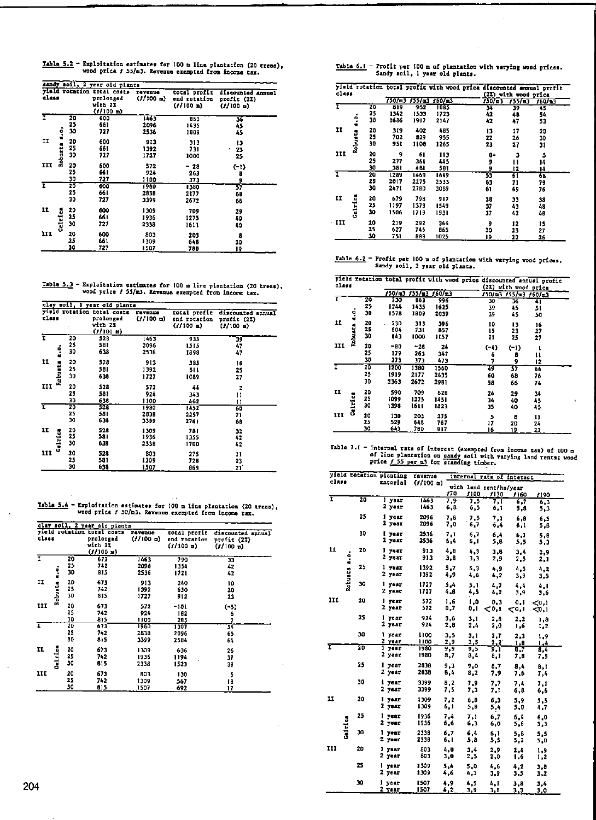Table 5.2 - Exploitation estimates for 100 m line plantation (20 tress), wood price  $f$  55/m3. Revenue exempted from income tax.

|       |                |                | sandy soil, 2 year old plants                                 |                      |                                              |                                             |
|-------|----------------|----------------|---------------------------------------------------------------|----------------------|----------------------------------------------|---------------------------------------------|
| class |                |                | yield rotation total costs<br>prolongad<br>with 21<br>(1/100) | revenue<br>(1/100 n) | total profit<br>end rotation<br>$(1/100)$ a) | discounted annual<br>profit (22)<br>(1/100) |
| T     | $\ddot{\cdot}$ | 20<br>25<br>30 | 600<br>661<br>727                                             | 1463<br>2096<br>2536 | 863<br>1435<br>1809                          | 36<br>45<br>45                              |
| ĨĪ    | Robusta        | 20<br>25<br>30 | 600<br>661<br>727                                             | 913<br>1392<br>1727  | 313<br>731<br>1000                           | 13<br>23<br>25                              |
| III   |                | 20<br>25<br>30 | 600<br>661<br>727                                             | 572<br>924<br>1100   | - 28<br>263<br>373                           | $(-1)$<br>Đ<br>9                            |
| ī     |                | 20<br>25<br>30 | 600<br>66 I<br>727                                            | 1980<br>2838<br>3399 | 1380<br>2177<br>2672                         | 37<br>68<br>66                              |
| 11    | Caletes        | 20<br>25<br>30 | 600<br>661<br>727                                             | 1309<br>1936<br>2338 | 709<br>1275<br>1611                          | 29<br>40<br>40                              |
| III   |                | 20<br>25<br>30 | 600<br>661<br>727                                             | 803<br>1309<br>1507  | 203<br>646<br>780                            | 8<br>20<br>19                               |

Table 5.3 - Exploitation estimates for 100 m line plantation (20 trees), vood price  $f$  55/m3. Revenue exempted from income tax.

|       | clay soil, I year old plants |                |                                                                |                         |                                                       |                                               |  |  |  |  |  |
|-------|------------------------------|----------------|----------------------------------------------------------------|-------------------------|-------------------------------------------------------|-----------------------------------------------|--|--|--|--|--|
| tlass |                              |                | yield rotation total costs<br>prolonged<br>with 22<br>(1100 n) | ravenue<br>$(f/100)$ m) | total profic<br>end rotation<br>$(1/100 \; \text{m})$ | discounted annual<br>profit (22)<br>(1/100 n) |  |  |  |  |  |
| Ŧ     |                              | 20<br>25       | 528<br>581                                                     | 1463<br>2096            | 935<br>1515                                           | 39<br>47                                      |  |  |  |  |  |
| u     | $\ddot{\cdot}$               | 30<br>20<br>25 | 638<br>528<br>581                                              | 2536<br>913<br>1392     | 1898<br>385                                           | 47<br>16                                      |  |  |  |  |  |
| III   | <b>Robusta</b>               | 30<br>20       | 638<br>528                                                     | 1727                    | 81 L<br>1089                                          | 25<br>27                                      |  |  |  |  |  |
|       |                              | 25<br>30       | 581<br>638                                                     | 572<br>924<br>1100      | 44<br>343<br>462                                      | 2<br>11<br>11                                 |  |  |  |  |  |
| τ     |                              | 20<br>25<br>30 | 528<br>581<br>638                                              | 1980<br>2838<br>3399    | 1452<br>2257<br>2761                                  | 60<br>71<br>68                                |  |  |  |  |  |
| II    | <b>Celtrics</b>              | 20<br>25<br>30 | 528<br>581<br>638                                              | 1309<br>1936<br>2338    | 781<br>1355<br>1700                                   | 32<br>42<br>42                                |  |  |  |  |  |
| III   |                              | 20<br>25<br>30 | 528<br>581<br>638                                              | 303<br>1309<br>1507     | 275<br>728<br>869                                     | 11<br>23<br>21                                |  |  |  |  |  |

Table 5.4 - Exploitation estimates for 100 m line plantation (20 trees), wood price  $f$  50/m3. Revenue excmpted from income tax.

|       |         |    | clay soil, 2 year old plants                |                |                           |                              |
|-------|---------|----|---------------------------------------------|----------------|---------------------------|------------------------------|
|       |         |    | yield rotation total costs                  | <b>TAVELUE</b> | total profit              | discounted annual            |
| class |         |    | prolonged<br>vich 2%<br>$(1/100 \text{ m})$ | $(1/100)$ m)   | end rotation<br>(1/100 n) | profit (2%)<br>$(1/100 \pi)$ |
| I     |         | 20 | 673                                         | 1463           | 790                       | 33                           |
|       |         | 25 | 742                                         | 2096           | 1354                      | 42                           |
|       | i       | 30 | 815                                         | 2536           | 1721                      | 42                           |
| IJ    |         | 20 | 673                                         | 913            | 240                       | 10                           |
|       |         | 25 | 742                                         | 1392           | 650                       | 20                           |
|       | Robusta | 30 | 815                                         | 1727           | 512                       | 23                           |
| Ħ     |         | 20 | 673                                         | 572            | -101                      | $(-3)$                       |
|       |         | 25 | 742                                         | 924            | 182                       | 6                            |
|       |         | 30 | 815                                         | 1100           | 285                       | 7                            |
| ī     |         | 20 | 673                                         | 1980           | 1307                      | 34                           |
|       |         | 25 | 742                                         | 2838           | 2096                      | 65                           |
|       |         | 30 | 815                                         | 3399           | 2584                      | 64                           |
| IL    |         | 20 | 673                                         | 1309           | 636                       | 26                           |
|       |         | 25 | 742                                         | 1936           | 1194                      | 37                           |
|       | Celrica | 30 | 815                                         | 2338           | 1523                      | 39                           |
| III   |         | 20 | 671                                         | 803            | 130                       | Ś                            |
|       |         | 25 | 742                                         | 1309           | 567                       | ١Ĥ                           |
|       |         | 30 | 815                                         | 1507           | 692                       | 17                           |

Table 6.1 - Profit per 100 m of plantation with varying wood prices.<br>Sandy soil, 1 year old plants.

| class |         |    |        |        |        |             | visid rotation total profit with wood price discounted sumual profit<br>(2%) with wood price |            |
|-------|---------|----|--------|--------|--------|-------------|----------------------------------------------------------------------------------------------|------------|
|       |         |    | 750/m3 | 155/a3 | 160/n3 | $150/\pm 3$ | 155/13                                                                                       | $160/\pm3$ |
|       |         | 20 | 819    | 952    | 1085   | 34          | 39                                                                                           | 45         |
|       |         | 25 | 1342   | 1533   | 1723   | 42          | 48                                                                                           | 54         |
|       | ė       | 30 | 1686   | 1917   | 2147   | 42          | 47                                                                                           | 53         |
| ŢŢ    |         | 20 | 319    | 402    | 4B5    | 13          | 17                                                                                           | 20         |
|       |         | 25 | 702    | 829    | 955    | 22          | 26                                                                                           | 30         |
|       | Robusta | 30 | 951    | 1108   | 1265   | 23          | 27                                                                                           | 31         |
| 111   |         | 20 | 9      | 61     | 113    | 0+          | 3                                                                                            | 5          |
|       |         | 25 | 277    | 36 L   | 445    | 9           | п                                                                                            | 14         |
|       |         | 30 | 381    | 481    | 581    | 9           | 12                                                                                           | 14         |
| T     |         | 20 | 1289   | 1469   | 1649   | 55          | 61                                                                                           | 68         |
|       |         | 25 | 2017   | 2275   | 2533   | 63          | 71                                                                                           | 79         |
|       |         | 30 | 2471   | 2780   | 3089   | 61          | 69                                                                                           | 76         |
| II    |         | 20 | 679    | 798    | 917    | 28          | 33                                                                                           | 38         |
|       |         | 25 | 1197   | 1373   | 1549   | 37          | 43                                                                                           | 48         |
|       | Gelrica | 30 | 1506   | 1719   | 1931   | 37          | 42                                                                                           | 48         |
| - III |         | 20 | 219    | 292    | 364    | 9           | 12                                                                                           | 15         |
|       |         | 25 | 627    | 746    | 865    | 20          | 23                                                                                           | 27         |
|       |         | 30 | 751    | 888    | 1025   | 19          | $-22$                                                                                        | 26         |

Isble 6.2 - Profit per 100 m of plantation with varying wood prices.<br>Sandy soil, 2 year old plants.

 $\ddot{\phantom{a}}$ 

| ≏lass |         |    |        |        | vield rotation total profit with wood price discounted annual profit |         | (2X) with wood price                               |    |  |
|-------|---------|----|--------|--------|----------------------------------------------------------------------|---------|----------------------------------------------------|----|--|
|       |         |    | /50/a3 |        | $155/\text{m}$ $160/\text{m}$                                        |         | $150/\text{m}$ 3 $155/\text{m}$ 3 $160/\text{m}$ 3 |    |  |
| T     |         | 20 | 730    | 863    | 996                                                                  | 30      | 36                                                 | स  |  |
|       |         | 25 | 1244   | 1435   | 1625                                                                 | 39      | 45                                                 | 51 |  |
|       | ះ       | 30 | 1578   | 1809   | 2039                                                                 | 39      | 45                                                 | 50 |  |
| n     |         | 20 | 230    | 313    | 396                                                                  | 10      | 13                                                 | 16 |  |
|       | ã       | 25 | 604    | 731    | 857                                                                  | 19      | 23                                                 | 27 |  |
|       | Robu    | 30 | 843    | 1000   | 1157                                                                 | 21      | 25                                                 | 27 |  |
| 111   |         | 20 | -80    | $-28$  | 24                                                                   | $( -4)$ | $(-1)$                                             | ı  |  |
|       |         | 25 | 179    | 263    | 347                                                                  | 6       | ₿                                                  | п  |  |
|       |         | 30 | 273    | 373    | 473                                                                  | 7       | 9                                                  | 12 |  |
| ı     |         | 20 | 1200   | 1380   | 1560                                                                 | 79      | 57                                                 | 64 |  |
|       |         | 25 | 1919   | 2177   | 2435                                                                 | 60      | 68                                                 | 76 |  |
|       |         | 30 | 2363   | 2672   | 2981                                                                 | 58      | 66                                                 | 74 |  |
| H     |         | 20 | 590    | 709    | 828                                                                  | 24      | 29                                                 | 34 |  |
|       |         | 25 | 1099   | 1275   | 1451                                                                 | 34      | 40                                                 | 45 |  |
|       | Celvica | 30 | 1398   | 16 I I | 1823                                                                 | 35      | 40                                                 | 45 |  |
| 111   |         | 20 | 130    | 203    | 275                                                                  | 5       | 8                                                  |    |  |
|       |         | 25 | 529    | 648    | 767                                                                  | 17      |                                                    | 11 |  |
|       |         | 30 | 643    | 780    | 917                                                                  |         | 20                                                 | 24 |  |
|       |         |    |        |        |                                                                      | 16      | 19                                                 | 23 |  |

Table 7.1 - Internal rate of interest (exempted from income tax) of 100 m of line plantation on <u>sandy</u> soil with varying land rents; wood price  $f$  55 per m3 for attanding timber.

|       |                |    | yield retation planting | ravenue      |             |             |                                | internal rate of interest |            |
|-------|----------------|----|-------------------------|--------------|-------------|-------------|--------------------------------|---------------------------|------------|
| class |                |    | material                | (1/100 n)    | 170         | 1100        | with land rent/ha/year<br>1130 | 1160                      | 1190       |
| ī     |                | 20 | l year<br>2 year        | 1463<br>1463 | 7.9<br>6,8  | 7.5<br>6,5  | 7.1                            | 6.7                       | 6,3        |
|       |                | 25 | 1 year                  | 2096         | 7.8         | 7,5         | 6,1                            | 5,8                       | 5,3        |
|       |                |    | 2 year                  | 2096         | 7.0         | 6,7         | 7,1<br>6,4                     | 6.8<br>6,1                | 6.S<br>5.8 |
|       |                | 30 | i year<br>2 year        | 2536<br>2536 | 7.1         | 6.7         | 6,4                            | 6,1                       | 5.8        |
| 11    |                | 20 | l year                  | 913          | 6,4<br>4.0  | 6, I<br>4.3 | 5,8                            | 5.5                       | 5,3        |
|       | Robusta a.o.   |    | 2 year                  | 913          | 3.8         | 3,3         | 3.8<br>2,9                     | 3.4<br>2,5                | 2.9<br>2.1 |
|       |                | 25 | 1 vear                  | 1392         | 5.7         | 5,3         | 4.9                            | 4.5                       | 4.2        |
|       |                |    | 2 year                  | 1392         | 4,9         | 4,6         | 4,2                            | 3,9                       | 3,5        |
|       |                | 30 | l year<br>$2$ year      | 1727<br>1727 | 5.4<br>4.8  | 5,1<br>4,5  | 4,7<br>4,2                     | 4.4<br>3,9                | 4.1<br>3.6 |
| Ħ     |                | 20 | l year                  | 572          | 1.6         | 0, ا        | 0.3                            | 0,1                       | < 0.1      |
|       |                |    | 2 year                  | 572          | 0,7         | 0,1         | ⊂0,1                           | <∘.⊥                      | < 0.1      |
|       |                | 25 | l year                  | 924          | 3.6         | 3.1         | 2,6                            | 2,2                       | 1,8        |
|       |                |    | 2 year                  | 924          | 2.0         | 2,4         | 2.0                            | 1.6                       | 1,2        |
|       |                | 30 | l year<br>Z year        | 1100<br>1100 | 3.5<br>2.9  | 3,1<br>2.5  | 2.7<br>2, 2                    | 2,3<br>8,1                | 1,9<br>1.4 |
| τ     |                | 20 | l year                  | 1980         | 9,9         | 9,5         | 9,1                            | 8,7                       | 8.4        |
|       |                |    | 2 year                  | 1980         | 8,7         | 8,4         | 8,1                            | 7,8                       | 7,5        |
|       |                | 25 | 1 year                  | 2333         | 9.3         | 9.0         | 8.7                            | 8.4                       | 8.1        |
|       |                |    | 2 year                  | 2838         | 8,4         | 8,2         | 7,9                            | 7,6                       | 74         |
|       |                | 30 | l year<br>2 year        | 3399         | 8.2         | 7.9         | 7,7                            | 7,4                       | 7.1        |
|       |                |    |                         | 3399         | 7.5         | 7.3         | 7,1                            | 6,8                       | 6.6        |
| 11    |                | 20 | l year<br>2 year        | 1309<br>1309 | 7.2<br>6.1  | 6.8<br>5,0  | 6,3<br>5,4                     | 5,9<br>5,0                | 5.5<br>4.7 |
|       |                | 25 | l year                  | 1936         | 7,4         | 7.1         | 6,7                            | 6.4                       | 6,0        |
|       |                |    | 2 yezr                  | 1936         | 6,6         | 6.3         | 6,0                            | 5,6                       | 5,3        |
|       | <b>Jalinka</b> | 30 | l year<br>2 уелг        | 2338<br>2330 | 6.7<br>6, 1 | 6.4         | 6.1                            | 5.8                       | 5.5        |
| III   |                | 20 | l year                  | 803          | 4.0         | 5,8         | 5,5                            | 5,2                       | 5,0        |
|       |                |    | $2$ year                | 803          | 3,0         | 3.4<br>2,5  | 2,9<br>2,0                     | 2,4<br>1,6                | 1.9<br>1,2 |
|       |                | 25 | 1<br>vezr               | 1309         | 5.4         | 5.0         | 4.6                            | 4,2                       | 3,8        |
|       |                |    | 2 year                  | 1309         | 4,6         | 4.3         | 3,9                            | 3,5                       | 3,2        |
|       |                | 30 | l year<br>2 year        | 1507<br>1507 | 4.9<br>4,2  | 4,5<br>3.9  | 4,1<br>3,6                     | 3,8<br>3,3                | 3,4<br>3,0 |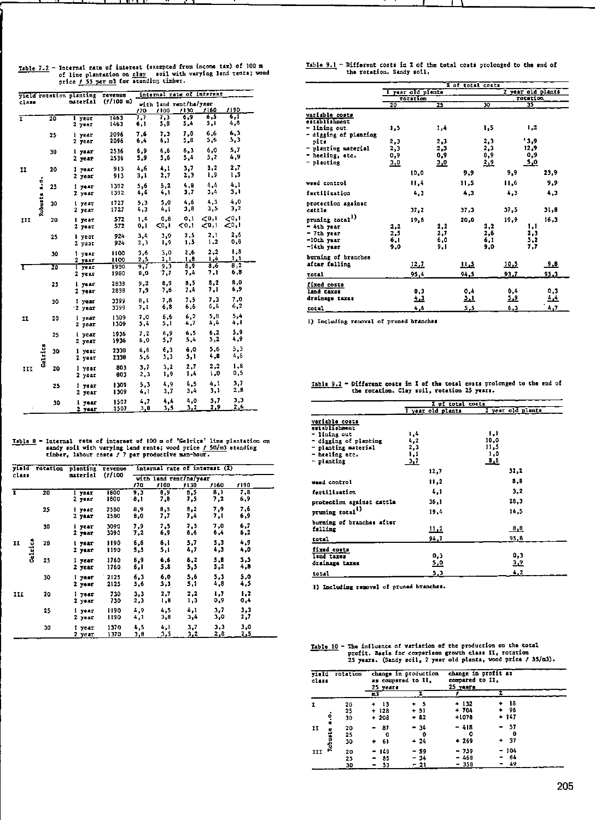| Table 7.2 - Internal rate of interest (exempted from income tax) of 100 m |
|---------------------------------------------------------------------------|
| of line plantation on clay soil with varying land rents; wood             |
| nrice f 55 per m3 for standing timber.                                    |

|       |              |                 | yield rotation planting | revenue      |             |             | internal rate of interest      |                         |                          |
|-------|--------------|-----------------|-------------------------|--------------|-------------|-------------|--------------------------------|-------------------------|--------------------------|
| class |              |                 | material                | $(1/100 - )$ | 170         | /100        | with land rent/ha/year<br>1130 | 1160                    | 1190                     |
| Ŧ     |              | $\overline{20}$ | l year<br>2 year        | 1463<br>1463 | 7,7<br>6,1  | 7.3<br>5,8  | 6.9<br>5,4                     | 6.S<br>5,1              | 6.1<br>4,8               |
|       |              | 25              | l year<br>2 year        | 2096<br>2096 | 7.6<br>6,4  | 7.3<br>6,1  | 7.0<br>5,8                     | 6.6<br>5,6              | 6,3<br>3,3               |
|       |              | 30              | l yaar<br>2 year        | 2536<br>2536 | 6.9<br>5,9  | 6.6<br>5,6  | 6.3<br>5,4                     | 6,0<br>5,2              | 5,7<br>4.9               |
| II    |              | 20              | l year<br>2 year        | 913<br>913   | 4.6<br>3,1  | 4,1<br>2,7  | 3.7<br>2,3                     | 3.2<br>1,9              | 2.7<br>5ء 1              |
|       | Robusta 4.0. | 25              | l vear<br>7 yuar        | 1392<br>1392 | 5.6<br>4,4  | 5, 2<br>4,1 | 4.8<br>3.7                     | 4.4<br>3,4              | 4,1<br>3,1               |
|       |              | 30              | l year<br>2 уелт        | 1727<br>1727 | 5,3<br>4,3  | 5.0<br>۸, I | 4.6<br>3,8                     | 4,3<br>4,5              | 4,0<br>3,2               |
| 111   |              | 20              | l year<br>2 year        | 572<br>572   | 1,4<br>0. L | 0.8<br><0,1 | 0.1<br>0.1                     | $\leq 0,1$<br>$C^{0,1}$ | ${}_{0,1}$<br>$\leq 0.1$ |
|       |              | 25              | l year<br>2 year        | 924<br>924   | 3,4<br>2,3  | 3.0<br>1.9  | 2.5<br>1,5                     | 2,1<br>1,2              | 2,6<br>0,6               |
|       |              | 30              | 1.<br>year<br>2 yaar    | 1100<br>1100 | 3,6<br>2,5  | 3.0<br>2.1  | 2,6<br>1.8                     | 2, 2<br>۸.۱             | 1.8<br>1,1               |
| т     |              | 20              | T year<br>2 уеат        | 1930<br>1980 | 9. T<br>8,0 | 9.3<br>7.1  | 8,9<br>7.4                     | 8,6<br>7,1              | 8,2<br>6,8               |
|       |              | 25              | l yaar<br>2 уеаг        | 2838<br>2038 | 9.2<br>7,9  | 8,9<br>7,6  | 8,5<br>7.4                     | 3,2<br>7,1              | 8,0<br>6,9               |
|       |              | 30              | 1 year<br>'2 year       | 3399<br>3399 | 8,1<br>7.1  | 78<br>6, 3  | 7,5<br>6.6                     | 7,3<br>6,4              | 7.0<br>6,2               |
| II    |              | 20              | vear<br>L<br>Z year     | 1309<br>1309 | 7.0<br>5,4  | 6.6<br>5,1  | 6, 2<br>4,7                    | 5.8<br>4,4              | 5.4<br>4,1               |
|       |              | 25              | l year<br>2 year        | 1936<br>1936 | 7,2<br>6,0  | 6,9<br>5,7  | 6.5<br>5,4                     | 6.2<br>5,2              | 5.9<br>4,9               |
|       | Gelrica      | 30              | l year<br>2 year        | 2338<br>2330 | 6,6<br>5,6  | 6.3<br>5,3  | 6,0<br>5,1                     | 5.6<br>4,E              | 5,3<br>4,6               |
| III   |              | 20              | l year<br>2 year        | 803<br>803   | 3,7<br>2,3  | 3.2<br>1,9  | 2.7<br>1,4                     | 2.2<br>0, ا             | 1,8<br>0,5               |
|       |              | 25              | l year<br>2 челт        | 1309<br>1309 | 5.3<br>4,1  | 4.9<br>3.7  | 4,5<br>3,4                     | 4,1<br>3,1              | 3,7<br>2.8               |
|       |              | 30              | l vear<br>$2 - 20 = 1$  | 1507<br>1507 | 4.7<br>3.8  | 44<br>3.5   | 4,0<br>3,2                     | 3,7<br>2,9              | 3,3<br>2,6               |

Table 8 - Internal rate of interest of 100 m of 'Gelrica' line plentation on sandy soil with varying land rents; wood price  $f$  50/m3 standing timber, labour costs  $f$  7 per productive man-hour.

|               | viald rotation | plenting           | revenue      |             |             | internal rate of interest (I)  |             |            |
|---------------|----------------|--------------------|--------------|-------------|-------------|--------------------------------|-------------|------------|
| class         |                | material           | (1/100)      | 170         | 7100        | with land rent/ha/year<br>1130 | 1160        | 1190       |
| ī             | 20             | i yaar<br>$2$ year | 1800<br>1800 | 9,3<br>8,1  | 8,9<br>7,0  | 5.5<br>7,5                     | 8, 1<br>7,2 | 7,8<br>6,9 |
|               | 25             | l year<br>2 year   | 2580<br>2580 | 8,9<br>8,0  | 8,5<br>7.7  | 8.2<br>7,4                     | 7,9<br>7,1  | 7,6<br>6,9 |
|               | 30             | l year<br>2 year   | 3090<br>3090 | 7,9<br>7,2  | 7.5<br>6, J | 7,3<br>6,6                     | 7.0<br>6,4  | 6,7<br>6,2 |
| Gelrica<br>11 | 20             | l year<br>$2$ year | 1190<br>1190 | 6,6<br>5,5  | 6,1<br>5,1  | 5,7<br>4,7                     | 5.3<br>4,3  | 4,9<br>4,0 |
|               | 25             | l year<br>2 year   | 1760<br>1760 | 6,9<br>6, I | 6.6<br>5,8  | 6,2<br>5,5                     | 5.8<br>5,2  | 5,5<br>4,8 |
|               | 30             | l year<br>2 year   | 2125<br>2125 | 6,3<br>5,6  | 6,0<br>5, J | 5,6<br>5,1                     | 5.3<br>4,8  | 5,0<br>4,5 |
| III           | 20             | l year<br>2 year   | 730<br>730   | 3.3<br>2,3  | 2.7<br>1,8  | 2,2<br>1,3                     | 1,7<br>0,9  | 1,2<br>٥,4 |
|               | 25             | l yaar<br>2 year   | 1190<br>1190 | 4,9<br>4,1  | 4,5<br>3,8  | 4,1<br>3,4                     | 3,7<br>3,0  | 3,3<br>2,7 |
|               | 30             | l year<br>2 year   | 1370<br>1370 | 4,5<br>3,0  | 4,1<br>3,5  | 3,7<br>3,2                     | 3.3<br>2,8  | 3,0<br>2,5 |

|  |                           |  |  |  | Table 9.1 - Different costs in $\bar{x}$ of the total costs prolonged to the end of |  |  |
|--|---------------------------|--|--|--|-------------------------------------------------------------------------------------|--|--|
|  | the rotation. Sandy soil. |  |  |  |                                                                                     |  |  |

|                             | a of total costs |                   |     |            |     |      |                   |              |  |
|-----------------------------|------------------|-------------------|-----|------------|-----|------|-------------------|--------------|--|
|                             |                  | l year old plants |     |            |     |      | 2 year old plants |              |  |
|                             |                  | rocation          |     |            |     |      | rotation          |              |  |
|                             | 20               |                   | 25  |            | 30  |      | 35                |              |  |
| variable costs              |                  |                   |     |            |     |      |                   |              |  |
| establishment               |                  |                   |     |            |     |      |                   |              |  |
| - lining out                | 1,5              |                   | 1,4 |            | 1,5 |      | 1.2               |              |  |
| - digging of planting       |                  |                   |     |            |     |      |                   |              |  |
| pite                        | 2,3              |                   | 2,3 |            | 2.3 |      | .3.9              |              |  |
| - planting material         | 2,3              |                   | 2,3 |            | 2,3 |      | 12,9              |              |  |
| - heeling, ste.             | 0,9              |                   | 0,9 |            | 0,9 |      | 0,9               |              |  |
| - planting                  | 3,0              |                   | 3,0 |            | 2,2 |      | <u>s.o</u>        |              |  |
|                             |                  | 10.0              |     | 9.9        |     | 9.9  |                   | 23,9         |  |
| weed control                |                  | 11.4              |     | 11,5       |     | 11.6 |                   | 9.9          |  |
| fertilization               |                  | 4,3               |     | 4.3        |     | 4.3  |                   | 4.3          |  |
| protection against          |                  |                   |     |            |     |      |                   |              |  |
| cattle                      |                  | 37,2              |     | 37.3       |     | 37,5 |                   | 31,0         |  |
| pruning total <sup>1)</sup> |                  | 19,8              |     | 20.0       |     | 19.9 |                   | 16.3         |  |
| $-$ 4th year                | 2.2              |                   | 2.2 |            | 2,2 |      | 1.1               |              |  |
| $-7th$ year                 | 2.5              |                   | 2,7 |            | 2,6 |      | 2.3               |              |  |
| -10th year                  | 6, 1             |                   | 6,0 |            | 6,1 |      | 5.2               |              |  |
| -14th year                  | 9.0              |                   | 9.1 |            | 9.0 |      | 7.7               |              |  |
|                             |                  |                   |     |            |     |      |                   |              |  |
| burning of branches         |                  |                   |     |            |     |      |                   |              |  |
| after felling               |                  | 12.7              |     | فىللا      |     | 10.5 |                   | 9.8          |  |
| total                       |                  | 95.4              |     | 94.5       |     | 93.7 |                   | 95.3         |  |
| fixed costs                 |                  |                   |     |            |     |      |                   |              |  |
| land caxes                  |                  | 0, 3              |     | 0,4        |     | 0,4  |                   | 0,3          |  |
| drainage taxes              |                  | <u>د ه</u>        |     | <u>ارڈ</u> |     | 5,9  |                   | فك           |  |
| notal.                      |                  | 4.6               |     | 5.5        |     | 6.3  |                   | $\lambda$ .7 |  |

1) Including removal of pruned branches

Table  $9.2$  - Different costs in  $\bar{x}$  of the total costs prolonged to the end of the rotation. Clay soil, rotation 25 years.

|                             | I of total costs  |                   |
|-----------------------------|-------------------|-------------------|
|                             | I year old plants | 2 year old plants |
| variable costs              |                   |                   |
| establishment               |                   |                   |
| - lining out                | 1,4               | 1,1               |
| - digging of planting       | 4.2               | 10.0              |
| - planting material         | 2,3               | 11,5              |
| - heeling atc.              | ۱,۱               | 1,0               |
| - planting                  | 3,7               | 8,6               |
|                             | 12,7              | 32,2              |
| waad control                | 11,2              | 8,8               |
| fertilization               | 4.1               | 3.2               |
| protection against cattle   | 36,1              | 28.3              |
| pruning total <sup>1)</sup> | 19.4              | 14.5              |
| burning of branches after   |                   |                   |
| felling                     | 11.2              | <u>0,0</u>        |
| total                       | 94,7              | 95,8              |
| fixed costs                 |                   |                   |
| land taxes                  | 0.3               | 0,3               |
| drainage taxes              | 5,0               | 3,9               |
| total                       | 5.3               | 4.2               |

1) Including removal of pruned branches.

Table  $10$  - The influence of variation of the production on the total<br>profit. Basis for comparison growth class II, rotation<br>25 years. (Sandy soil, 2 year old plants, wood price / 55/m3).

| class | vield rotation     | 25 years                   | change in production<br>as compared to II. | change in profit as<br>compared to II.<br>25 чекта |          |  |
|-------|--------------------|----------------------------|--------------------------------------------|----------------------------------------------------|----------|--|
|       |                    | ш                          |                                            |                                                    |          |  |
| ı     | 20                 | + 13                       | $+5$                                       | $+132$                                             | + 18     |  |
|       | 25<br>٠            | $+123$                     | $+51$                                      | $+704$                                             | $+ 96$   |  |
|       | å<br>30<br>п       | $+208$                     | $+ 82$                                     | $+1078$                                            | $+117$   |  |
| n     | 20<br>п            | - 87                       | $-34$                                      | $-418$                                             | - 57     |  |
|       | ē<br>25            | o                          | $\mathbf 0$                                | ٥                                                  | o        |  |
|       | <b>Robus</b><br>30 | 61<br>$\ddot{\phantom{1}}$ | $+24$                                      | $+269$                                             | + 37     |  |
| III   | 20                 | $-149$                     | - 59                                       | $-759$                                             | $-104$   |  |
|       | 25                 | 85<br>۰                    | - 34                                       | - 468                                              | -64<br>- |  |
|       | 30                 | $-53$                      | $-21$                                      | $-35B$                                             | - 49     |  |